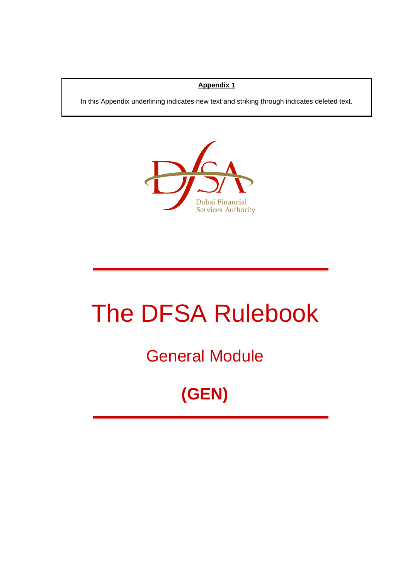#### **Appendix 1**

In this Appendix underlining indicates new text and striking through indicates deleted text.



# The DFSA Rulebook

### General Module

## **(GEN)**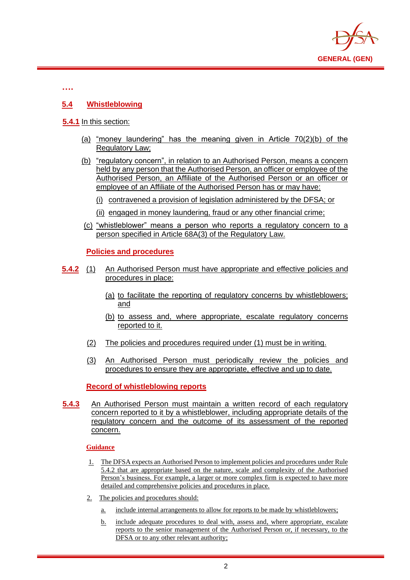

**….**

#### **5.4 Whistleblowing**

#### **5.4.1** In this section:

- (a) "money laundering" has the meaning given in Article 70(2)(b) of the Regulatory Law;
- (b) "regulatory concern", in relation to an Authorised Person, means a concern held by any person that the Authorised Person, an officer or employee of the Authorised Person, an Affiliate of the Authorised Person or an officer or employee of an Affiliate of the Authorised Person has or may have:
	- (i) contravened a provision of legislation administered by the DFSA; or
	- (ii) engaged in money laundering, fraud or any other financial crime;
- (c) "whistleblower" means a person who reports a regulatory concern to a person specified in Article 68A(3) of the Regulatory Law.

#### **Policies and procedures**

- **5.4.2** (1) An Authorised Person must have appropriate and effective policies and procedures in place:
	- (a) to facilitate the reporting of regulatory concerns by whistleblowers; and
	- (b) to assess and, where appropriate, escalate regulatory concerns reported to it.
	- (2) The policies and procedures required under (1) must be in writing.
	- (3) An Authorised Person must periodically review the policies and procedures to ensure they are appropriate, effective and up to date.

#### **Record of whistleblowing reports**

**5.4.3** An Authorised Person must maintain a written record of each regulatory concern reported to it by a whistleblower, including appropriate details of the regulatory concern and the outcome of its assessment of the reported concern.

#### **Guidance**

- 1. The DFSA expects an Authorised Person to implement policies and procedures under Rule 5.4.2 that are appropriate based on the nature, scale and complexity of the Authorised Person's business. For example, a larger or more complex firm is expected to have more detailed and comprehensive policies and procedures in place.
- 2. The policies and procedures should:
	- a. include internal arrangements to allow for reports to be made by whistleblowers;
	- b. include adequate procedures to deal with, assess and, where appropriate, escalate reports to the senior management of the Authorised Person or, if necessary, to the DFSA or to any other relevant authority;